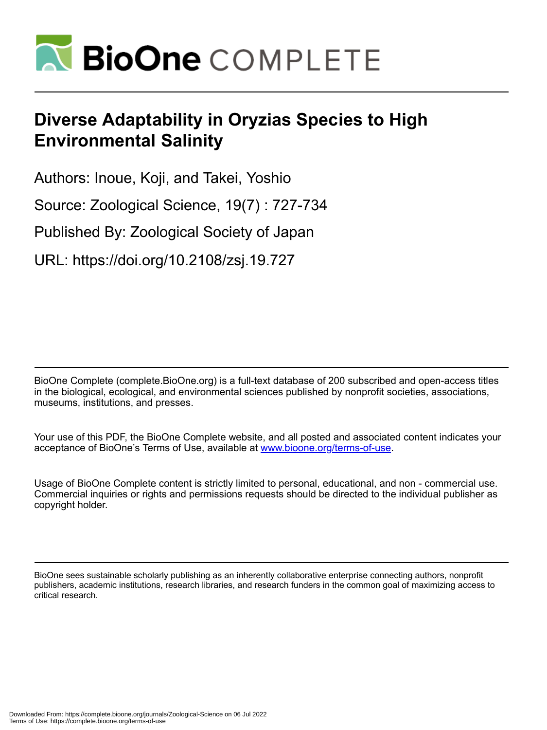

# **Diverse Adaptability in Oryzias Species to High Environmental Salinity**

Authors: Inoue, Koji, and Takei, Yoshio

Source: Zoological Science, 19(7) : 727-734

Published By: Zoological Society of Japan

URL: https://doi.org/10.2108/zsj.19.727

BioOne Complete (complete.BioOne.org) is a full-text database of 200 subscribed and open-access titles in the biological, ecological, and environmental sciences published by nonprofit societies, associations, museums, institutions, and presses.

Your use of this PDF, the BioOne Complete website, and all posted and associated content indicates your acceptance of BioOne's Terms of Use, available at www.bioone.org/terms-of-use.

Usage of BioOne Complete content is strictly limited to personal, educational, and non - commercial use. Commercial inquiries or rights and permissions requests should be directed to the individual publisher as copyright holder.

BioOne sees sustainable scholarly publishing as an inherently collaborative enterprise connecting authors, nonprofit publishers, academic institutions, research libraries, and research funders in the common goal of maximizing access to critical research.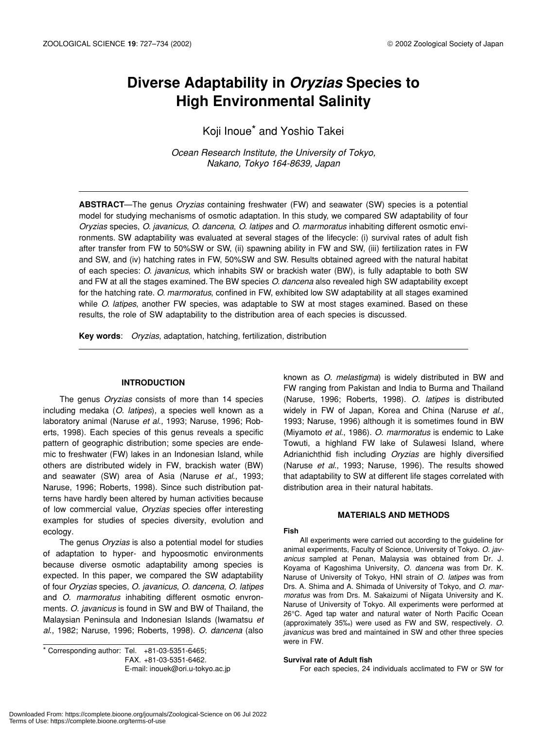## **Diverse Adaptability in** *Oryzias* **Species to High Environmental Salinity**

Koji Inoue\* and Yoshio Takei

*Ocean Research Institute, the University of Tokyo, Nakano, Tokyo 164-8639, Japan*

**ABSTRACT**—The genus *Oryzias* containing freshwater (FW) and seawater (SW) species is a potential model for studying mechanisms of osmotic adaptation. In this study, we compared SW adaptability of four *Oryzias* species, *O. javanicus*, *O. dancena*, *O. latipes* and *O. marmoratus* inhabiting different osmotic environments. SW adaptability was evaluated at several stages of the lifecycle: (i) survival rates of adult fish after transfer from FW to 50%SW or SW, (ii) spawning ability in FW and SW, (iii) fertilization rates in FW and SW, and (iv) hatching rates in FW, 50%SW and SW. Results obtained agreed with the natural habitat of each species: *O. javanicus*, which inhabits SW or brackish water (BW), is fully adaptable to both SW and FW at all the stages examined. The BW species *O. dancena* also revealed high SW adaptability except for the hatching rate. *O. marmoratus*, confined in FW, exhibited low SW adaptability at all stages examined while *O. latipes*, another FW species, was adaptable to SW at most stages examined. Based on these results, the role of SW adaptability to the distribution area of each species is discussed.

**Key words**: *Oryzias*, adaptation, hatching, fertilization, distribution

#### **INTRODUCTION**

The genus *Oryzias* consists of more than 14 species including medaka (*O. latipes*), a species well known as a laboratory animal (Naruse *et al*., 1993; Naruse, 1996; Roberts, 1998). Each species of this genus reveals a specific pattern of geographic distribution; some species are endemic to freshwater (FW) lakes in an Indonesian Island, while others are distributed widely in FW, brackish water (BW) and seawater (SW) area of Asia (Naruse *et al*., 1993; Naruse, 1996; Roberts, 1998). Since such distribution patterns have hardly been altered by human activities because of low commercial value, *Oryzias* species offer interesting examples for studies of species diversity, evolution and ecology.

The genus *Oryzias* is also a potential model for studies of adaptation to hyper- and hypoosmotic environments because diverse osmotic adaptability among species is expected. In this paper, we compared the SW adaptability of four *Oryzias* species, *O. javanicus*, *O. dancena*, *O. latipes* and *O. marmoratus* inhabiting different osmotic envronments. *O. javanicus* is found in SW and BW of Thailand, the Malaysian Peninsula and Indonesian Islands (Iwamatsu *et al*., 1982; Naruse, 1996; Roberts, 1998). *O. dancena* (also

 $*$  Corresponding author: Tel.  $+81-03-5351-6465$ ; FAX. +81-03-5351-6462. E-mail: inouek@ori.u-tokyo.ac.jp known as *O. melastigma*) is widely distributed in BW and FW ranging from Pakistan and India to Burma and Thailand (Naruse, 1996; Roberts, 1998). *O. latipes* is distributed widely in FW of Japan, Korea and China (Naruse *et al*., 1993; Naruse, 1996) although it is sometimes found in BW (Miyamoto *et al*., 1986). *O. marmoratus* is endemic to Lake Towuti, a highland FW lake of Sulawesi Island, where Adrianichthid fish including *Oryzias* are highly diversified (Naruse *et al*., 1993; Naruse, 1996). The results showed that adaptability to SW at different life stages correlated with distribution area in their natural habitats.

#### **MATERIALS AND METHODS**

#### **Fish**

All experiments were carried out according to the guideline for animal experiments, Faculty of Science, University of Tokyo. *O. javanicus* sampled at Penan, Malaysia was obtained from Dr. J. Koyama of Kagoshima University, *O. dancena* was from Dr. K. Naruse of University of Tokyo, HNI strain of *O. latipes* was from Drs. A. Shima and A. Shimada of University of Tokyo, and *O. marmoratus* was from Drs. M. Sakaizumi of Niigata University and K. Naruse of University of Tokyo. All experiments were performed at 26°C. Aged tap water and natural water of North Pacific Ocean (approximately 35‰) were used as FW and SW, respectively. *O. javanicus* was bred and maintained in SW and other three species were in FW.

#### **Survival rate of Adult fish**

For each species, 24 individuals acclimated to FW or SW for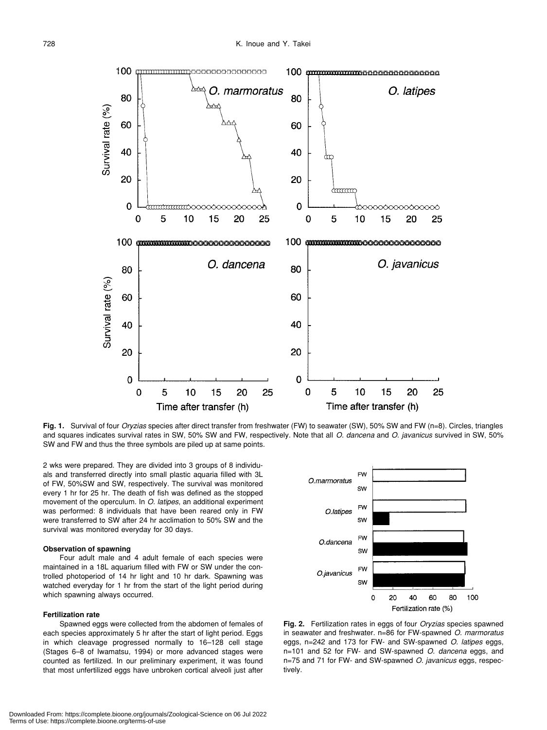

**Fig. 1.** Survival of four *Oryzias* species after direct transfer from freshwater (FW) to seawater (SW), 50% SW and FW (n=8). Circles, triangles and squares indicates survival rates in SW, 50% SW and FW, respectively. Note that all *O. dancena* and *O. javanicus* survived in SW, 50% SW and FW and thus the three symbols are piled up at same points.

2 wks were prepared. They are divided into 3 groups of 8 individuals and transferred directly into small plastic aquaria filled with 3L of FW, 50%SW and SW, respectively. The survival was monitored every 1 hr for 25 hr. The death of fish was defined as the stopped movement of the operculum. In *O. latipes*, an additional experiment was performed: 8 individuals that have been reared only in FW were transferred to SW after 24 hr acclimation to 50% SW and the survival was monitored everyday for 30 days.

#### **Observation of spawning**

Four adult male and 4 adult female of each species were maintained in a 18L aquarium filled with FW or SW under the controlled photoperiod of 14 hr light and 10 hr dark. Spawning was watched everyday for 1 hr from the start of the light period during which spawning always occurred.

#### **Fertilization rate**

Spawned eggs were collected from the abdomen of females of each species approximately 5 hr after the start of light period. Eggs in which cleavage progressed normally to 16–128 cell stage (Stages 6–8 of Iwamatsu, 1994) or more advanced stages were counted as fertilized. In our preliminary experiment, it was found that most unfertilized eggs have unbroken cortical alveoli just after



**Fig. 2.** Fertilization rates in eggs of four *Oryzias* species spawned in seawater and freshwater. n=86 for FW-spawned *O. marmoratus* eggs, n=242 and 173 for FW- and SW-spawned *O. latipes* eggs, n=101 and 52 for FW- and SW-spawned *O. dancena* eggs, and n=75 and 71 for FW- and SW-spawned *O. javanicus* eggs, respectively.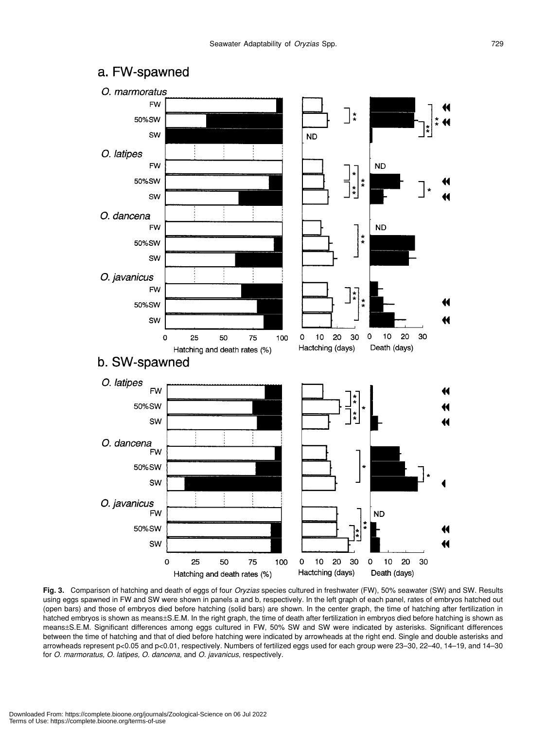### a. FW-spawned



**Fig. 3.** Comparison of hatching and death of eggs of four *Oryzias* species cultured in freshwater (FW), 50% seawater (SW) and SW. Results using eggs spawned in FW and SW were shown in panels a and b, respectively. In the left graph of each panel, rates of embryos hatched out (open bars) and those of embryos died before hatching (solid bars) are shown. In the center graph, the time of hatching after fertilization in hatched embryos is shown as means±S.E.M. In the right graph, the time of death after fertilization in embryos died before hatching is shown as means±S.E.M. Significant differences among eggs cultured in FW, 50% SW and SW were indicated by asterisks. Significant differences between the time of hatching and that of died before hatching were indicated by arrowheads at the right end. Single and double asterisks and arrowheads represent p<0.05 and p<0.01, respectively. Numbers of fertilized eggs used for each group were 23–30, 22–40, 14–19, and 14–30 for *O. marmoratus, O. latipes, O. dancena*, and *O. javanicus*, respectively.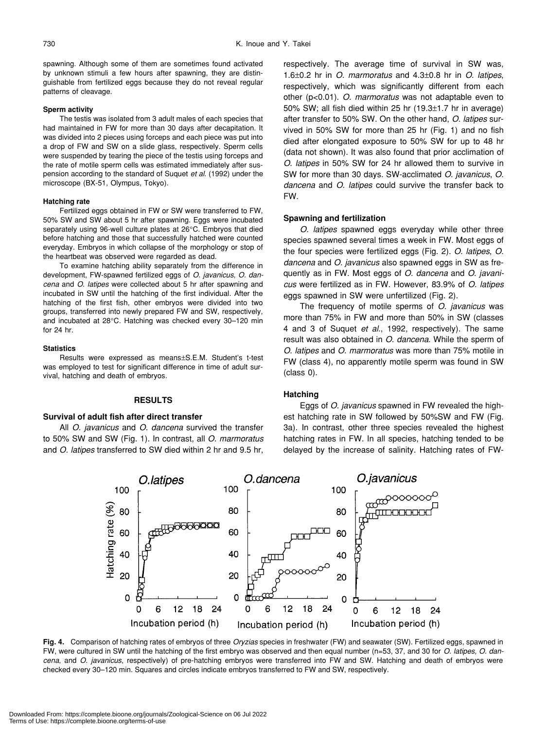spawning. Although some of them are sometimes found activated by unknown stimuli a few hours after spawning, they are distinguishable from fertilized eggs because they do not reveal regular patterns of cleavage.

#### **Sperm activity**

The testis was isolated from 3 adult males of each species that had maintained in FW for more than 30 days after decapitation. It was divided into 2 pieces using forceps and each piece was put into a drop of FW and SW on a slide glass, respectively. Sperm cells were suspended by tearing the piece of the testis using forceps and the rate of motile sperm cells was estimated immediately after suspension according to the standard of Suquet *et al*. (1992) under the microscope (BX-51, Olympus, Tokyo).

#### **Hatching rate**

Fertilized eggs obtained in FW or SW were transferred to FW, 50% SW and SW about 5 hr after spawning. Eggs were incubated separately using 96-well culture plates at 26°C. Embryos that died before hatching and those that successfully hatched were counted everyday. Embryos in which collapse of the morphology or stop of the heartbeat was observed were regarded as dead.

To examine hatching ability separately from the difference in development, FW-spawned fertilized eggs of *O. javanicus*, *O. dancena* and *O. latipes* were collected about 5 hr after spawning and incubated in SW until the hatching of the first individual. After the hatching of the first fish, other embryos were divided into two groups, transferred into newly prepared FW and SW, respectively, and incubated at 28°C. Hatching was checked every 30–120 min for 24 hr.

#### **Statistics**

Results were expressed as means±S.E.M. Student's t-test was employed to test for significant difference in time of adult survival, hatching and death of embryos.

#### **RESULTS**

#### **Survival of adult fish after direct transfer**

All *O. javanicus* and *O. dancena* survived the transfer to 50% SW and SW (Fig. 1). In contrast, all *O. marmoratus* and *O. latipes* transferred to SW died within 2 hr and 9.5 hr, respectively. The average time of survival in SW was, 1.6±0.2 hr in *O. marmoratus* and 4.3±0.8 hr in *O. latipes*, respectively, which was significantly different from each other (p<0.01). *O. marmoratus* was not adaptable even to 50% SW; all fish died within 25 hr (19.3±1.7 hr in average) after transfer to 50% SW. On the other hand, *O. latipes* survived in 50% SW for more than 25 hr (Fig. 1) and no fish died after elongated exposure to 50% SW for up to 48 hr (data not shown). It was also found that prior acclimation of *O. latipes* in 50% SW for 24 hr allowed them to survive in SW for more than 30 days. SW-acclimated *O. javanicus*, *O. dancena* and *O. latipes* could survive the transfer back to FW.

#### **Spawning and fertilization**

*O. latipes* spawned eggs everyday while other three species spawned several times a week in FW. Most eggs of the four species were fertilized eggs (Fig. 2). *O. latipes*, *O. dancena* and *O. javanicus* also spawned eggs in SW as frequently as in FW. Most eggs of *O. dancena* and *O. javanicus* were fertilized as in FW. However, 83.9% of *O. latipes* eggs spawned in SW were unfertilized (Fig. 2).

The frequency of motile sperms of *O. javanicus* was more than 75% in FW and more than 50% in SW (classes 4 and 3 of Suquet *et al*., 1992, respectively). The same result was also obtained in *O. dancena*. While the sperm of *O. latipes* and *O. marmoratus* was more than 75% motile in FW (class 4), no apparently motile sperm was found in SW (class 0).

#### **Hatching**

Eggs of *O. javanicus* spawned in FW revealed the highest hatching rate in SW followed by 50%SW and FW (Fig. 3a). In contrast, other three species revealed the highest hatching rates in FW. In all species, hatching tended to be delayed by the increase of salinity. Hatching rates of FW-



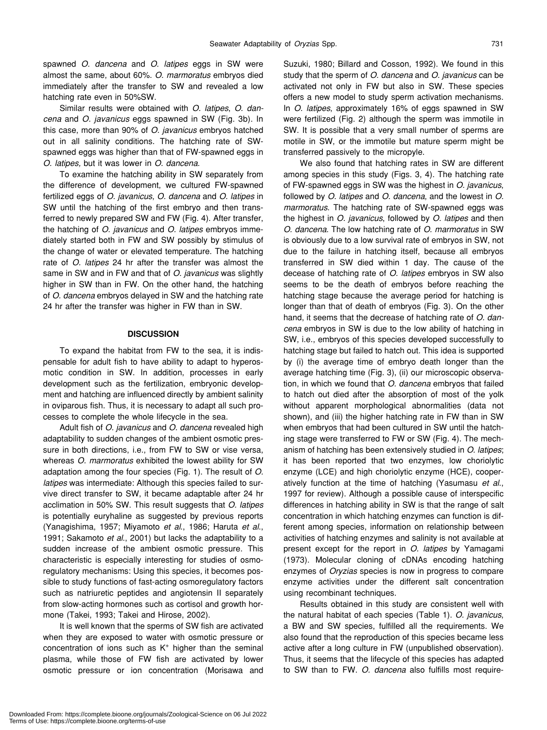spawned *O. dancena* and *O. latipes* eggs in SW were almost the same, about 60%. *O. marmoratus* embryos died immediately after the transfer to SW and revealed a low hatching rate even in 50%SW.

Similar results were obtained with *O. latipes*, *O. dancena* and *O. javanicus* eggs spawned in SW (Fig. 3b). In this case, more than 90% of *O. javanicus* embryos hatched out in all salinity conditions. The hatching rate of SWspawned eggs was higher than that of FW-spawned eggs in *O. latipes,* but it was lower in *O. dancena*.

To examine the hatching ability in SW separately from the difference of development, we cultured FW-spawned fertilized eggs of *O. javanicus*, *O. dancena* and *O. latipes* in SW until the hatching of the first embryo and then transferred to newly prepared SW and FW (Fig. 4). After transfer, the hatching of *O. javanicus* and *O. latipes* embryos immediately started both in FW and SW possibly by stimulus of the change of water or elevated temperature. The hatching rate of *O. latipes* 24 hr after the transfer was almost the same in SW and in FW and that of *O. javanicus* was slightly higher in SW than in FW. On the other hand, the hatching of *O. dancena* embryos delayed in SW and the hatching rate 24 hr after the transfer was higher in FW than in SW.

#### **DISCUSSION**

To expand the habitat from FW to the sea, it is indispensable for adult fish to have ability to adapt to hyperosmotic condition in SW. In addition, processes in early development such as the fertilization, embryonic development and hatching are influenced directly by ambient salinity in oviparous fish. Thus, it is necessary to adapt all such processes to complete the whole lifecycle in the sea.

Adult fish of *O. javanicus* and *O. dancena* revealed high adaptability to sudden changes of the ambient osmotic pressure in both directions, i.e., from FW to SW or vise versa, whereas *O. marmoratus* exhibited the lowest ability for SW adaptation among the four species (Fig. 1). The result of *O. latipes* was intermediate: Although this species failed to survive direct transfer to SW, it became adaptable after 24 hr acclimation in 50% SW. This result suggests that *O. latipes* is potentially euryhaline as suggested by previous reports (Yanagishima, 1957; Miyamoto *et al*., 1986; Haruta *et al*., 1991; Sakamoto *et al*., 2001) but lacks the adaptability to a sudden increase of the ambient osmotic pressure. This characteristic is especially interesting for studies of osmoregulatory mechanisms: Using this species, it becomes possible to study functions of fast-acting osmoregulatory factors such as natriuretic peptides and angiotensin II separately from slow-acting hormones such as cortisol and growth hormone (Takei, 1993; Takei and Hirose, 2002).

It is well known that the sperms of SW fish are activated when they are exposed to water with osmotic pressure or concentration of ions such as  $K^+$  higher than the seminal plasma, while those of FW fish are activated by lower osmotic pressure or ion concentration (Morisawa and Suzuki, 1980; Billard and Cosson, 1992). We found in this study that the sperm of *O. dancena* and *O. javanicus* can be activated not only in FW but also in SW. These species offers a new model to study sperm activation mechanisms. In *O. latipes*, approximately 16% of eggs spawned in SW were fertilized (Fig. 2) although the sperm was immotile in SW. It is possible that a very small number of sperms are motile in SW, or the immotile but mature sperm might be transferred passively to the micropyle.

We also found that hatching rates in SW are different among species in this study (Figs. 3, 4). The hatching rate of FW-spawned eggs in SW was the highest in *O. javanicus*, followed by *O. latipes* and *O. dancena*, and the lowest in *O. marmoratus*. The hatching rate of SW-spawned eggs was the highest in *O. javanicus*, followed by *O. latipes* and then *O. dancena*. The low hatching rate of *O. marmoratus* in SW is obviously due to a low survival rate of embryos in SW, not due to the failure in hatching itself, because all embryos transferred in SW died within 1 day. The cause of the decease of hatching rate of *O. latipes* embryos in SW also seems to be the death of embryos before reaching the hatching stage because the average period for hatching is longer than that of death of embryos (Fig. 3). On the other hand, it seems that the decrease of hatching rate of *O. dancena* embryos in SW is due to the low ability of hatching in SW, i.e., embryos of this species developed successfully to hatching stage but failed to hatch out. This idea is supported by (i) the average time of embryo death longer than the average hatching time (Fig. 3), (ii) our microscopic observation, in which we found that *O. dancena* embryos that failed to hatch out died after the absorption of most of the yolk without apparent morphological abnormalities (data not shown), and (iii) the higher hatching rate in FW than in SW when embryos that had been cultured in SW until the hatching stage were transferred to FW or SW (Fig. 4). The mechanism of hatching has been extensively studied in *O. latipes*; it has been reported that two enzymes, low choriolytic enzyme (LCE) and high choriolytic enzyme (HCE), cooperatively function at the time of hatching (Yasumasu *et al*., 1997 for review). Although a possible cause of interspecific differences in hatching ability in SW is that the range of salt concentration in which hatching enzymes can function is different among species, information on relationship between activities of hatching enzymes and salinity is not available at present except for the report in *O. latipes* by Yamagami (1973). Molecular cloning of cDNAs encoding hatching enzymes of *Oryzias* species is now in progress to compare enzyme activities under the different salt concentration using recombinant techniques.

Results obtained in this study are consistent well with the natural habitat of each species (Table 1). *O. javanicus*, a BW and SW species, fulfilled all the requirements. We also found that the reproduction of this species became less active after a long culture in FW (unpublished observation). Thus, it seems that the lifecycle of this species has adapted to SW than to FW. *O. dancena* also fulfills most require-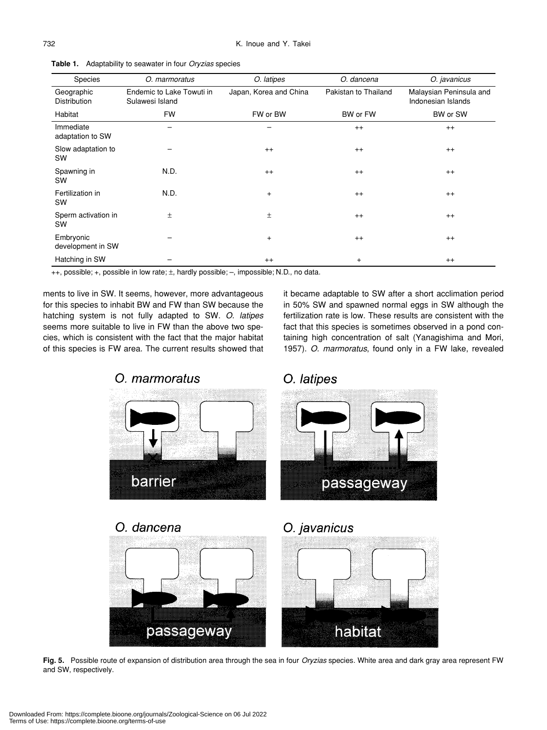| Species                           | O. marmoratus                                | O. latipes             | O. dancena           | O. javanicus                                  |
|-----------------------------------|----------------------------------------------|------------------------|----------------------|-----------------------------------------------|
| Geographic<br><b>Distribution</b> | Endemic to Lake Towuti in<br>Sulawesi Island | Japan, Korea and China | Pakistan to Thailand | Malaysian Peninsula and<br>Indonesian Islands |
| Habitat                           | <b>FW</b>                                    | FW or BW               | BW or FW             | BW or SW                                      |
| Immediate<br>adaptation to SW     |                                              |                        | $^{++}$              | $^{++}$                                       |
| Slow adaptation to<br>SW          |                                              | $++$                   | $++$                 | $^{++}$                                       |
| Spawning in<br><b>SW</b>          | N.D.                                         | $^{++}$                | $^{++}$              | $^{++}$                                       |
| Fertilization in<br><b>SW</b>     | N.D.                                         | $\ddot{}$              | $^{++}$              | $^{++}$                                       |
| Sperm activation in<br><b>SW</b>  | $\pm$                                        | $\pm$                  | $^{++}$              | $^{++}$                                       |
| Embryonic<br>development in SW    |                                              | $\ddot{}$              | $^{++}$              | $^{++}$                                       |
| Hatching in SW                    |                                              | $^{++}$                | $\ddot{}$            | $^{++}$                                       |

**Table 1.** Adaptability to seawater in four *Oryzias* species

++, possible; +, possible in low rate; ±, hardly possible; –, impossible; N.D., no data.

ments to live in SW. It seems, however, more advantageous for this species to inhabit BW and FW than SW because the hatching system is not fully adapted to SW. *O. latipes* seems more suitable to live in FW than the above two species, which is consistent with the fact that the major habitat of this species is FW area. The current results showed that it became adaptable to SW after a short acclimation period in 50% SW and spawned normal eggs in SW although the fertilization rate is low. These results are consistent with the fact that this species is sometimes observed in a pond containing high concentration of salt (Yanagishima and Mori, 1957). *O. marmoratus*, found only in a FW lake, revealed





habitat

passageway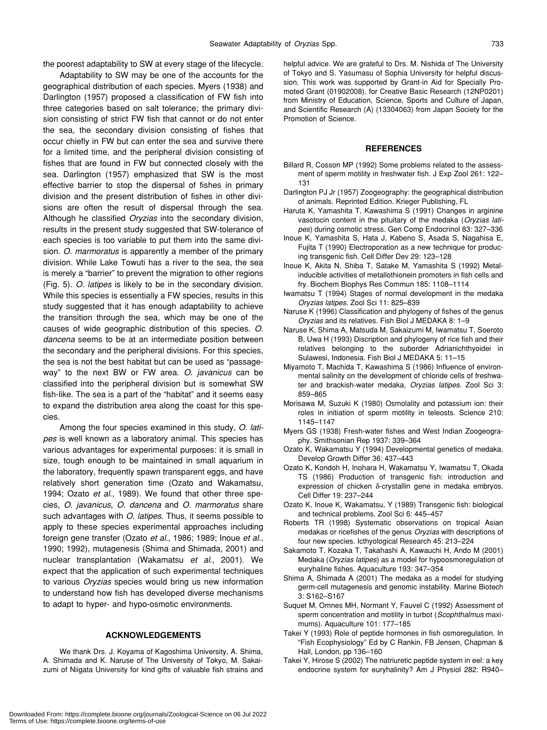the poorest adaptability to SW at every stage of the lifecycle.

Adaptability to SW may be one of the accounts for the geographical distribution of each species. Myers (1938) and Darlington (1957) proposed a classification of FW fish into three categories based on salt tolerance; the primary division consisting of strict FW fish that cannot or do not enter the sea, the secondary division consisting of fishes that occur chiefly in FW but can enter the sea and survive there for a limited time, and the peripheral division consisting of fishes that are found in FW but connected closely with the sea. Darlington (1957) emphasized that SW is the most effective barrier to stop the dispersal of fishes in primary division and the present distribution of fishes in other divisions are often the result of dispersal through the sea. Although he classified *Oryzias* into the secondary division, results in the present study suggested that SW-tolerance of each species is too variable to put them into the same division. *O. marmoratus* is apparently a member of the primary division. While Lake Towuti has a river to the sea, the sea is merely a "barrier" to prevent the migration to other regions (Fig. 5). *O. latipes* is likely to be in the secondary division. While this species is essentially a FW species, results in this study suggested that it has enough adaptability to achieve the transition through the sea, which may be one of the causes of wide geographic distribution of this species. *O. dancena* seems to be at an intermediate position between the secondary and the peripheral divisions. For this species, the sea is not the best habitat but can be used as "passageway" to the next BW or FW area. *O. javanicus* can be classified into the peripheral division but is somewhat SW fish-like. The sea is a part of the "habitat" and it seems easy to expand the distribution area along the coast for this species.

Among the four species examined in this study, *O. latipes* is well known as a laboratory animal. This species has various advantages for experimental purposes: it is small in size, tough enough to be maintained in small aquarium in the laboratory, frequently spawn transparent eggs, and have relatively short generation time (Ozato and Wakamatsu, 1994; Ozato *et al*., 1989). We found that other three species, *O. javanicus*, *O. dancena* and *O. marmoratus* share such advantages with *O. latipes*. Thus, it seems possible to apply to these species experimental approaches including foreign gene transfer (Ozato *et al*., 1986; 1989; Inoue *et al*., 1990; 1992), mutagenesis (Shima and Shimada, 2001) and nuclear transplantation (Wakamatsu *et al*., 2001). We expect that the application of such experimental techniques to various *Oryzias* species would bring us new information to understand how fish has developed diverse mechanisms to adapt to hyper- and hypo-osmotic environments.

#### **ACKNOWLEDGEMENTS**

We thank Drs. J. Koyama of Kagoshima University, A. Shima, A. Shimada and K. Naruse of The University of Tokyo, M. Sakaizumi of Niigata University for kind gifts of valuable fish strains and helpful advice. We are grateful to Drs. M. Nishida of The University of Tokyo and S. Yasumasu of Sophia University for helpful discussion. This work was supported by Grant-in Aid for Specially Promoted Grant (01902008), for Creative Basic Research (12NP0201) from Ministry of Education, Science, Sports and Culture of Japan, and Scientific Research (A) (13304063) from Japan Society for the Promotion of Science.

#### **REFERENCES**

- Billard R, Cosson MP (1992) Some problems related to the assessment of sperm motility in freshwater fish. J Exp Zool 261: 122– 131
- Darlington PJ Jr (1957) Zoogeography: the geographical distribution of animals. Reprinted Edition. Krieger Publishing, FL
- Haruta K, Yamashita T, Kawashima S (1991) Changes in arginine vasotocin content in the pituitary of the medaka (*Oryzias latipes*) during osmotic stress. Gen Comp Endocrinol 83: 327–336
- Inoue K, Yamashita S, Hata J, Kabeno S, Asada S, Nagahisa E, Fujita T (1990) Electroporation as a new technique for producing transgenic fish. Cell Differ Dev 29: 123–128
- Inoue K, Akita N, Shiba T, Satake M, Yamashita S (1992) Metalinducible activities of metallothionein promoters in fish cells and fry. Biochem Biophys Res Commun 185: 1108–1114
- Iwamatsu T (1994) Stages of normal development in the medaka *Oryzias latipes*. Zool Sci 11: 825–839
- Naruse K (1996) Classification and phylogeny of fishes of the genus *Oryzias* and its relatives. Fish Biol J MEDAKA 8: 1–9
- Naruse K, Shima A, Matsuda M, Sakaizumi M, Iwamatsu T, Soeroto B, Uwa H (1993) Discription and phylogeny of rice fish and their relatives belonging to the suborder Adrianichthyoidei in Sulawesi, Indonesia. Fish Biol J MEDAKA 5: 11–15
- Miyamoto T, Machida T, Kawashima S (1986) Influence of environmental salinity on the development of chloride cells of freshwater and brackish-water medaka, *Oryzias latipes*. Zool Sci 3: 859–865
- Morisawa M, Suzuki K (1980) Osmolality and potassium ion: their roles in initiation of sperm motility in teleosts. Science 210: 1145–1147
- Myers GS (1938) Fresh-water fishes and West Indian Zoogeography. Smithsonian Rep 1937: 339–364
- Ozato K, Wakamatsu Y (1994) Developmental genetics of medaka. Develop Growth Differ 36: 437–443
- Ozato K, Kondoh H, Inohara H, Wakamatsu Y, Iwamatsu T, Okada TS (1986) Production of transgenic fish: introduction and expression of chicken δ-crystallin gene in medaka embryos. Cell Differ 19: 237–244
- Ozato K, Inoue K, Wakamatsu, Y (1989) Transgenic fish: biological and technical problems. Zool Sci 6: 445–457
- Roberts TR (1998) Systematic observations on tropical Asian medakas or ricefishes of the genus *Oryzias* with descriptions of four new species. Icthyological Research 45: 213–224
- Sakamoto T, Kozaka T, Takahashi A, Kawauchi H, Ando M (2001) Medaka (*Oryzias latipes*) as a model for hypoosmoregulation of euryhaline fishes. Aquaculture 193: 347–354
- Shima A, Shimada A (2001) The medaka as a model for studying germ-cell mutagenesis and genomic instability. Marine Biotech 3: S162–S167
- Suquet M, Omnes MH, Normant Y, Fauvel C (1992) Assessment of sperm concentration and motility in turbot (*Scophthalmus* maximums). Aquaculture 101: 177–185
- Takei Y (1993) Role of peptide hormones in fish osmoregulation. In "Fish Ecophysiology" Ed by C Rankin, FB Jensen, Chapman & Hall, London, pp 136–160
- Takei Y, Hirose S (2002) The natriuretic peptide system in eel: a key endocrine system for euryhalinity? Am J Physiol 282: R940–